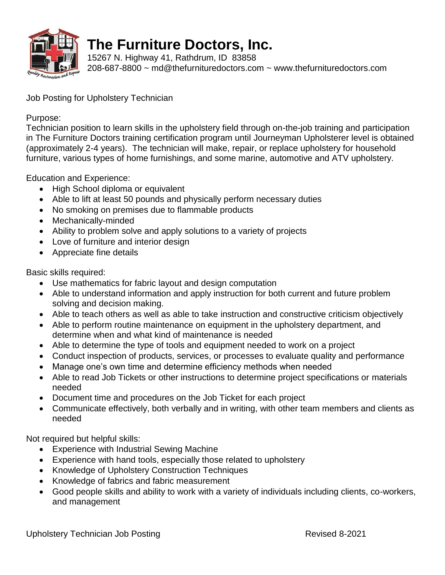

## **The Furniture Doctors, Inc.**

15267 N. Highway 41, Rathdrum, ID 83858 208-687-8800 ~ [md@thefurnituredoctors.com](mailto:md@thefurnituredoctors.com) ~ [www.thefurnituredoctors.com](http://www.thefurnituredoctors.com/)

Job Posting for Upholstery Technician

Purpose:

Technician position to learn skills in the upholstery field through on-the-job training and participation in The Furniture Doctors training certification program until Journeyman Upholsterer level is obtained (approximately 2-4 years). The technician will make, repair, or replace upholstery for household furniture, various types of home furnishings, and some marine, automotive and ATV upholstery.

Education and Experience:

- High School diploma or equivalent
- Able to lift at least 50 pounds and physically perform necessary duties
- No smoking on premises due to flammable products
- Mechanically-minded
- Ability to problem solve and apply solutions to a variety of projects
- Love of furniture and interior design
- Appreciate fine details

Basic skills required:

- Use mathematics for fabric layout and design computation
- Able to understand information and apply instruction for both current and future problem solving and decision making.
- Able to teach others as well as able to take instruction and constructive criticism objectively
- Able to perform routine maintenance on equipment in the upholstery department, and determine when and what kind of maintenance is needed
- Able to determine the type of tools and equipment needed to work on a project
- Conduct inspection of products, services, or processes to evaluate quality and performance
- Manage one's own time and determine efficiency methods when needed
- Able to read Job Tickets or other instructions to determine project specifications or materials needed
- Document time and procedures on the Job Ticket for each project
- Communicate effectively, both verbally and in writing, with other team members and clients as needed

Not required but helpful skills:

- Experience with Industrial Sewing Machine
- Experience with hand tools, especially those related to upholstery
- Knowledge of Upholstery Construction Techniques
- Knowledge of fabrics and fabric measurement
- Good people skills and ability to work with a variety of individuals including clients, co-workers, and management